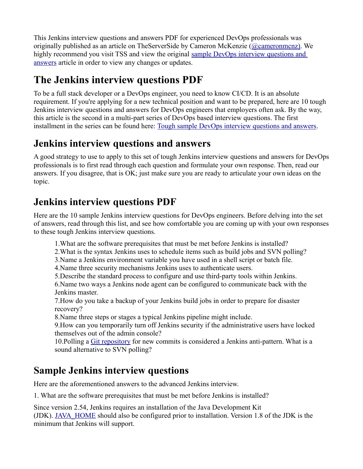This Jenkins interview questions and answers PDF for experienced DevOps professionals was originally published as an article on TheServerSide by Cameron McKenzie [\(@cameronmcnz\).](https://twitter.com/cameronmcnz) We highly recommend you visit TSS and view the original sample DevOps interview questions and [answers](https://www.theserverside.com/video/10-tough-Jenkins-interview-questions-for-DevOps-engineers) article in order to view any changes or updates.

# **The Jenkins interview questions PDF**

To be a full stack developer or a DevOps engineer, you need to know CI/CD. It is an absolute requirement. If you're applying for a new technical position and want to be prepared, here are 10 tough Jenkins interview questions and answers for DevOps engineers that employers often ask. By the way, this article is the second in a multi-part series of DevOps based interview questions. The first installment in the series can be found here: [Tough sample DevOps interview questions and answers.](https://www.theserverside.com/video/Tackle-these-10-sample-DevOps-interview-questions-and-answers)

## **Jenkins interview questions and answers**

A good strategy to use to apply to this set of tough Jenkins interview questions and answers for DevOps professionals is to first read through each question and formulate your own response. Then, read our answers. If you disagree, that is OK; just make sure you are ready to articulate your own ideas on the topic.

## **Jenkins interview questions PDF**

Here are the 10 sample Jenkins interview questions for DevOps engineers. Before delving into the set of answers, read through this list, and see how comfortable you are coming up with your own responses to these tough Jenkins interview questions.

1.What are the software prerequisites that must be met before Jenkins is installed?

2.What is the syntax Jenkins uses to schedule items such as build jobs and SVN polling?

3.Name a Jenkins environment variable you have used in a shell script or batch file.

4.Name three security mechanisms Jenkins uses to authenticate users.

5.Describe the standard process to configure and use third-party tools within Jenkins.

6.Name two ways a Jenkins node agent can be configured to communicate back with the Jenkins master.

7.How do you take a backup of your Jenkins build jobs in order to prepare for disaster recovery?

8.Name three steps or stages a typical Jenkins pipeline might include.

9.How can you temporarily turn off Jenkins security if the administrative users have locked themselves out of the admin console?

10.Polling a [Git repository](https://www.theserverside.com/blog/Coffee-Talk-Java-News-Stories-and-Opinions/How-to-git-cherry-pick-from-another-branch-to-your-own) for new commits is considered a Jenkins anti-pattern. What is a sound alternative to SVN polling?

# **Sample Jenkins interview questions**

Here are the aforementioned answers to the advanced Jenkins interview.

1. What are the software prerequisites that must be met before Jenkins is installed?

Since version 2.54, Jenkins requires an installation of the Java Development Kit (JDK). [JAVA\\_HOME](https://www.theserverside.com/tutorial/How-to-install-the-JDK-on-Windows-and-setup-JAVA_HOME) should also be configured prior to installation. Version 1.8 of the JDK is the minimum that Jenkins will support.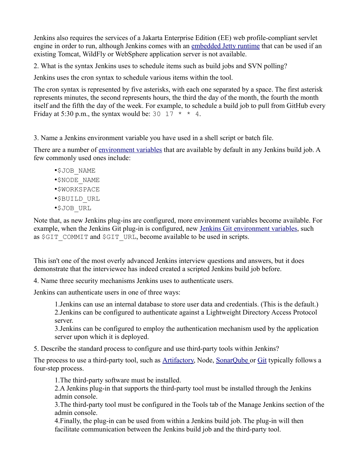Jenkins also requires the services of a Jakarta Enterprise Edition (EE) web profile-compliant servlet engine in order to run, although Jenkins comes with an [embedded Jetty runtime](https://www.theserverside.com/tutorial/How-to-embed-Tomcat-and-Java-web-apps-in-an-executable-JAR) that can be used if an existing Tomcat, WildFly or WebSphere application server is not available.

2. What is the syntax Jenkins uses to schedule items such as build jobs and SVN polling?

Jenkins uses the cron syntax to schedule various items within the tool.

The cron syntax is represented by five asterisks, with each one separated by a space. The first asterisk represents minutes, the second represents hours, the third the day of the month, the fourth the month itself and the fifth the day of the week. For example, to schedule a build job to pull from GitHub every Friday at 5:30 p.m., the syntax would be: 30 17  $\star \star 4$ .

3. Name a Jenkins environment variable you have used in a shell script or batch file.

There are a number of [environment variables](https://www.theserverside.com/tutorial/Jenkins-environment-variables-list-for-shell-script-build-jobs) that are available by default in any Jenkins build job. A few commonly used ones include:

- •\$JOB\_NAME •\$NODE\_NAME •\$WORKSPACE •\$BUILD\_URL
- •\$JOB\_URL

Note that, as new Jenkins plug-ins are configured, more environment variables become available. For example, when the Jenkins Git plug-in is configured, new [Jenkins Git environment variables,](https://www.theserverside.com/blog/Coffee-Talk-Java-News-Stories-and-Opinions/Complete-Jenkins-Git-environment-variables-list-for-batch-jobs-and-shell-script-builds) such as \$GIT\_COMMIT and \$GIT\_URL, become available to be used in scripts.

This isn't one of the most overly advanced Jenkins interview questions and answers, but it does demonstrate that the interviewee has indeed created a scripted Jenkins build job before.

4. Name three security mechanisms Jenkins uses to authenticate users.

Jenkins can authenticate users in one of three ways:

1.Jenkins can use an internal database to store user data and credentials. (This is the default.) 2.Jenkins can be configured to authenticate against a Lightweight Directory Access Protocol server.

3.Jenkins can be configured to employ the authentication mechanism used by the application server upon which it is deployed.

5. Describe the standard process to configure and use third-party tools within Jenkins?

The process to use a third-party tool, such as [Artifactory,](https://www.theserverside.com/video/How-to-set-up-and-use-a-JFrog-Artifactory-Maven-repository) Node, [SonarQube](https://www.theserverside.com/video/How-to-use-the-SonarQube-Maven-Plugin-for-continuous-inspection) or [Git](https://www.theserverside.com/tutorial/Five-basic-Git-commands-every-beginner-needs-to-know) typically follows a four-step process.

1.The third-party software must be installed.

2.A Jenkins plug-in that supports the third-party tool must be installed through the Jenkins admin console.

3.The third-party tool must be configured in the Tools tab of the Manage Jenkins section of the admin console.

4.Finally, the plug-in can be used from within a Jenkins build job. The plug-in will then facilitate communication between the Jenkins build job and the third-party tool.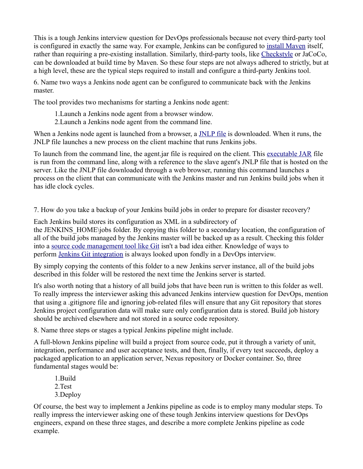This is a tough Jenkins interview question for DevOps professionals because not every third-party tool is configured in exactly the same way. For example, Jenkins can be configured to [install Maven](https://www.theserverside.com/tutorial/How-to-install-Maven-and-build-apps-with-the-mvn-command-line) itself, rather than requiring a pre-existing installation. Similarly, third-party tools, like [Checkstyle](https://www.theserverside.com/video/Use-Maven-Checkstyle-Plugin-to-enforce-Java-quality-rules) or JaCoCo, can be downloaded at build time by Maven. So these four steps are not always adhered to strictly, but at a high level, these are the typical steps required to install and configure a third-party Jenkins tool.

6. Name two ways a Jenkins node agent can be configured to communicate back with the Jenkins master.

The tool provides two mechanisms for starting a Jenkins node agent:

- 1.Launch a Jenkins node agent from a browser window.
- 2.Launch a Jenkins node agent from the command line.

When a Jenkins node agent is launched from a browser, a [JNLP file](https://whatis.techtarget.com/fileformat/JNLP-Java-Web-Start-Sun-Microsystems-Inc) is downloaded. When it runs, the JNLP file launches a new process on the client machine that runs Jenkins jobs.

To launch from the command line, the agent.jar file is required on the client. This [executable JAR](https://www.theserverside.com/blog/Coffee-Talk-Java-News-Stories-and-Opinions/Embed-the-WebSphere-Liberty-profile-in-an-executable-JAR-with-Maven) file is run from the command line, along with a reference to the slave agent's JNLP file that is hosted on the server. Like the JNLP file downloaded through a web browser, running this command launches a process on the client that can communicate with the Jenkins master and run Jenkins build jobs when it has idle clock cycles.

7. How do you take a backup of your Jenkins build jobs in order to prepare for disaster recovery?

Each Jenkins build stores its configuration as XML in a subdirectory of the JENKINS\_HOME\jobs folder. By copying this folder to a secondary location, the configuration of all of the build jobs managed by the Jenkins master will be backed up as a result. Checking this folder into a [source code management tool like Git](https://www.theserverside.com/tutorial/How-to-git-revert-a-commit-A-simple-undo-changes-example) isn't a bad idea either. Knowledge of ways to perform [Jenkins Git integration](https://www.theserverside.com/tutorial/Attain-Jenkins-Git-integration-with-a-GitHub-pull-request) is always looked upon fondly in a DevOps interview.

By simply copying the contents of this folder to a new Jenkins server instance, all of the build jobs described in this folder will be restored the next time the Jenkins server is started.

It's also worth noting that a history of all build jobs that have been run is written to this folder as well. To really impress the interviewer asking this advanced Jenkins interview question for DevOps, mention that using a .gitignore file and ignoring job-related files will ensure that any Git repository that stores Jenkins project configuration data will make sure only configuration data is stored. Build job history should be archived elsewhere and not stored in a source code repository.

8. Name three steps or stages a typical Jenkins pipeline might include.

A full-blown Jenkins pipeline will build a project from source code, put it through a variety of unit, integration, performance and user acceptance tests, and then, finally, if every test succeeds, deploy a packaged application to an application server, Nexus repository or Docker container. So, three fundamental stages would be:

- 1.Build
- 2.Test
- 3.Deploy

Of course, the best way to implement a Jenkins pipeline as code is to employ many modular steps. To really impress the interviewer asking one of these tough Jenkins interview questions for DevOps engineers, expand on these three stages, and describe a more complete Jenkins pipeline as code example.